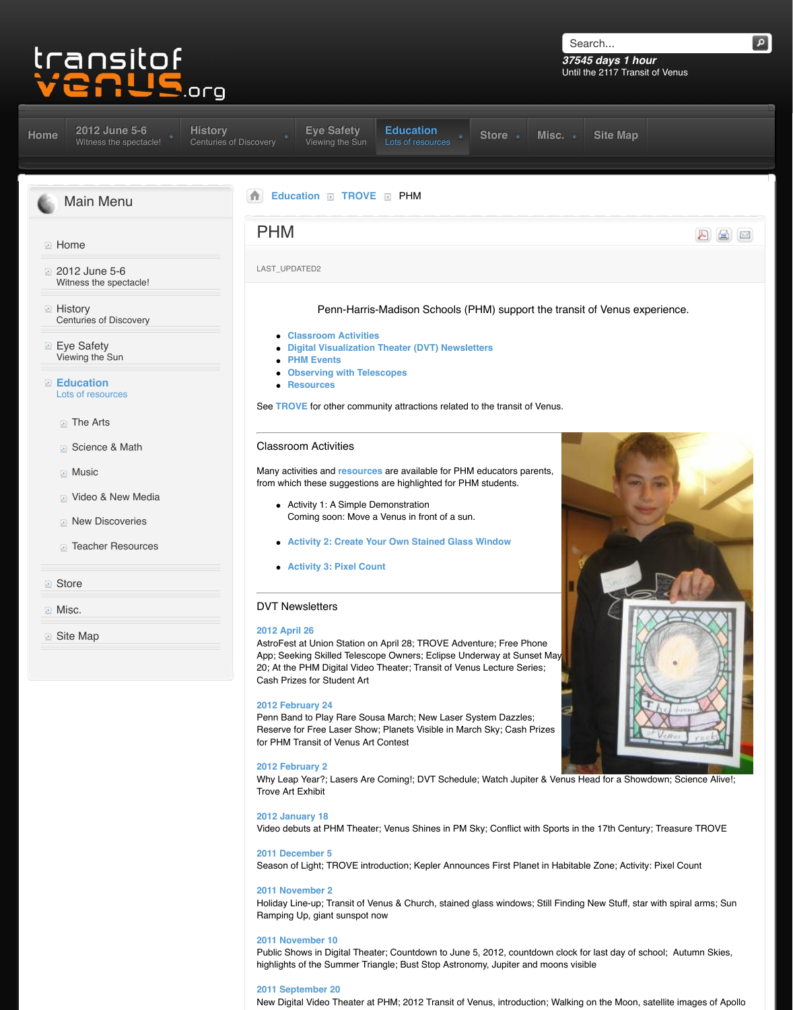- **The Arts**
- Science & Math
- **Music**
- **D** Video & New Media
- **ID** New Discoveries
- **[Teacher Resources](http://www.transitofvenus.org/june2012)**

#### **Store**

**Misc.** 

**■** [Site Map](http://www.transitofvenus.org/)

See **TROVE** for other community attractions related to

#### Classroom Activities

Many activities and **resources** are available for PHN from which these suggestions are highlighted for PHI

- Activity 1: A Simple Demonstration Coming soon: Move a Venus in front of a sun.
- **[A](http://www.transitofvenus.org/history)[ctivity 2: Create Yo](http://www.transitofvenus.org/june2012/eye-safety)[ur Own Stained Glass](http://www.transitofvenus.org/education)**
- **Activity 3: Pixel Count**

### [DVT Newslette](http://www.transitofvenus.org/education)r[s](http://www.transitofvenus.org/education/80-trove)

#### **2012 April 26**

AstroFest at Union Station on April 28; TROVE Adve App; Seeking Skilled Telescope Owners; Eclipse Underway 20; At the PHM Digital Video Theater; Transit of Venus Cash Prizes for Student Art

#### **2012 February 24**

Penn Band to Play Rare Sousa March; New Laser System Reserv[e for Free Laser Show;](http://www.transitofvenus.org/education/80-trove/315-phm#classroom) Planets Visible in March for PH[M Transit of Venus Art Contest](http://www.transitofvenus.org/education/80-trove/315-phm#newsletters)

#### **2012 F[ebruary 2](http://www.transitofvenus.org/education/80-trove/315-phm#telescopes)**

Why L[eap Year?; L](http://www.transitofvenus.org/education/80-trove/315-phm#resources)asers Are Coming!; DVT Schedule Trove Art Exhibit

**2012 January 18** Video debuts at PHM Theater; Venus Shines in PM S

**2011 December 5** Season of Light; T[ROVE introd](http://www.transitofvenus.org/education/teacher-resources)uction; Kepler Annour

#### **2011 November 2**

Holiday Line-up; Transit of Venus & Church, stained Ramping Up, giant sunspot now

#### **2011 N[ovember 10](http://www.transitofvenus.org/education/teacher-resources/152-create-your-own-stained-glass-window)**

Public Shows in Digital Theater; Countdown to June highlig[hts of the Summer Triang](http://www.transitofvenus.org/education/science-math/316-activity-pixel-count)le; Bust Stop Astronomy

#### **2011 September 20**

New Digital Video Theater at PHM; 2012 Transit of V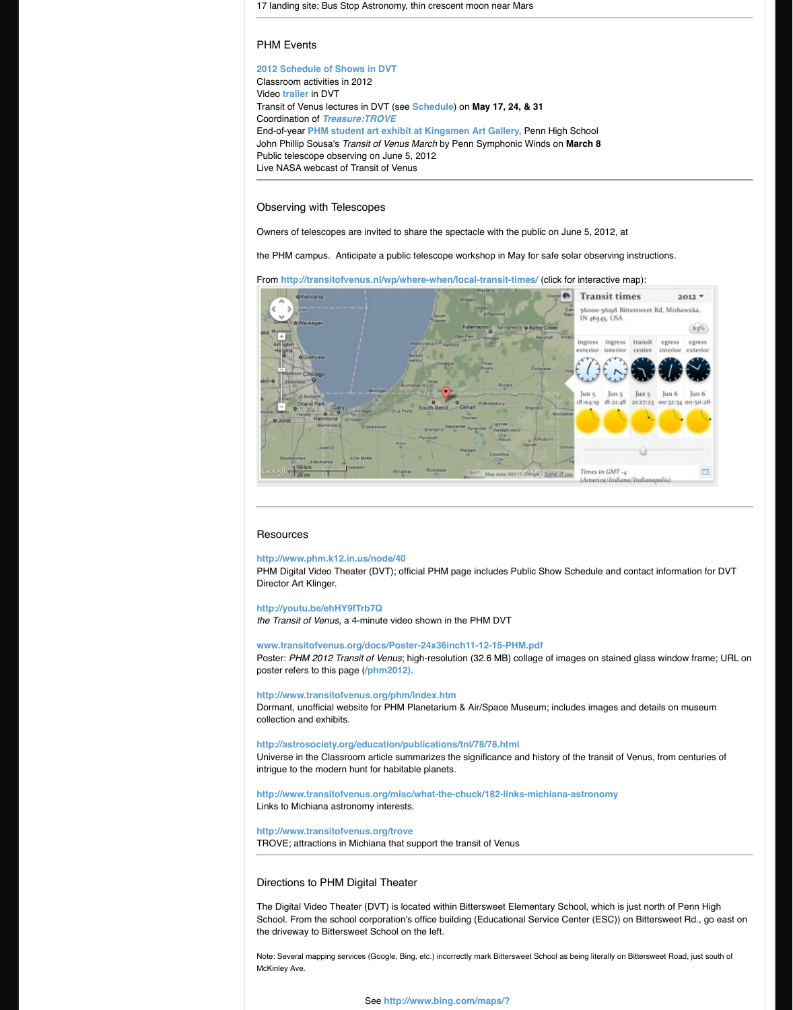

## Resource[s](http://www.transitofvenus.org/education/the-arts/333-phm-art-contest)

#### **http://www.phm.k12.in.us/node/40**

PHM Digital Video Theater (DVT); official PHM page Director Art Klinger.

#### **http://youtu.be/ehHY9fTrb7Q**

*the Transit of Venus, a 4-minute video shown in the F* 

www.transitofvenus.org/docs/Poster-24x36inch11 Poster: PHM 2012 Transit of Venus; high-resolution ( poste[r refers to this page \(](http://transitofvenus.nl/wp/where-when/local-transit-times/)**/phm2012)**.

**http://www.transitofvenus.org/phm/index.htm** Dormant, unofficial website for PHM Planetarium & A collection and exhibits.

**http://astrosociety.org/education/publications/tnl/78/78.html** Universe in the Classroom article summarizes the signal intrigue to the modern hunt for habitable planets.

http://www.transitofvenus.org/misc/what-the-chu Links to Michiana astronomy interests.

#### **http://www.transitofvenus.org/trove**

TROVE; attractions in Michiana that support the trans

# Directions to PHM Digital Theater

The Digital Video Theater (DVT) is located within Bitt School. From the school corporation's office building the driveway to Bittersweet School on the left.

[Note: Several mapping services \(Google, Bi](http://www.phm.k12.in.us/node/40)ng, etc.) incorrectly McKinley Ave.

[See](http://youtu.be/ehHY9fTrb7Q) http://www.bing.com